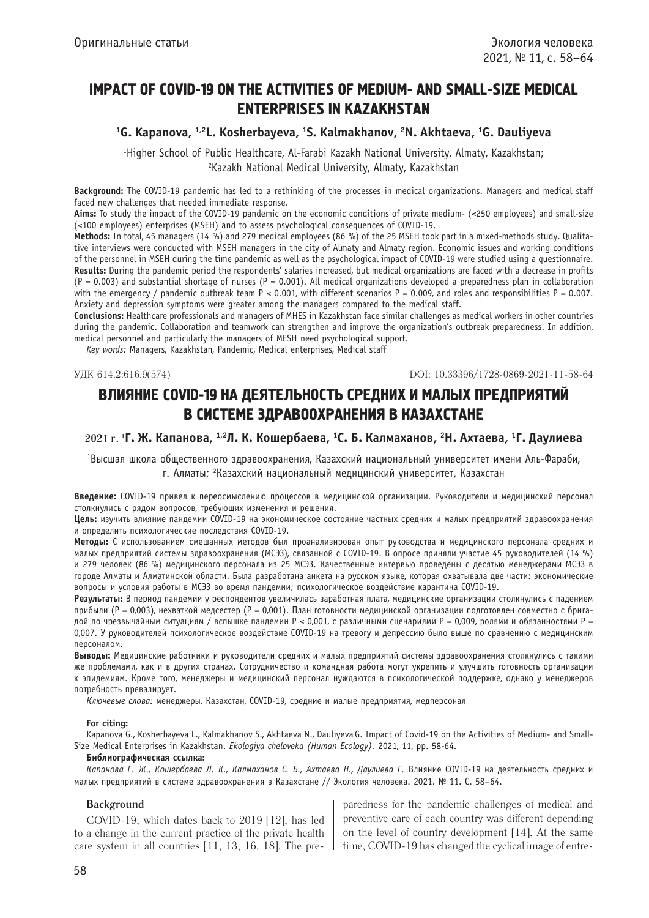# IMPACT OF COVID-19 ON THE ACTIVITIES OF MEDIUM- AND SMALL-SIZE MEDICAL ENTERPRISES IN KAZAKHSTAN

<sup>1</sup>G. Kapanova, <sup>1,2</sup>L. Kosherbayeva, <sup>1</sup>S. Kalmakhanov, <sup>2</sup>N. Akhtaeva, <sup>1</sup>G. Dauliyeva

1 Higher School of Public Healthcare, Al-Farabi Kazakh National University, Almaty, Kazakhstan; 2 Kazakh National Medical University, Almaty, Kazakhstan

 **Background:** The COVID-19 pandemic has led to a rethinking of the processes in medical organizations. Managers and medical staff faced new challenges that needed immediate response.

**Aims:** To study the impact of the COVID-19 pandemic on the economic conditions of private medium- (<250 employees) and small-size (<100 employees) enterprises (MSEH) and to assess psychological consequences of COVID-19.

**Methods:** In total, 45 managers (14 %) and 279 medical employees (86 %) of the 25 MSEH took part in a mixed-methods study. Qualitative interviews were conducted with MSEH managers in the city of Almaty and Almaty region. Economic issues and working conditions of the personnel in MSEH during the time pandemic as well as the psychological impact of COVID-19 were studied using a questionnaire. **Results:** During the pandemic period the respondents' salaries increased, but medical organizations are faced with a decrease in profits  $(P = 0.003)$  and substantial shortage of nurses  $(P = 0.001)$ . All medical organizations developed a preparedness plan in collaboration with the emergency / pandemic outbreak team  $P < 0.001$ , with different scenarios  $P = 0.009$ , and roles and responsibilities  $P = 0.007$ . Anxiety and depression symptoms were greater among the managers compared to the medical staff.

**Conclusions:** Healthcare professionals and managers of MHES in Kazakhstan face similar challenges as medical workers in other countries during the pandemic. Collaboration and teamwork can strengthen and improve the organization's outbreak preparedness. In addition, medical personnel and particularly the managers of MESH need psychological support.

*Key words:* Managers, Kazakhstan, Pandemic, Medical enterprises, Medical staff

УДК 614.2:616.9(574) DOI: 10.33396/1728-0869-2021-11-58-64

# ВЛИЯНИЕ COVID-19 НА ДЕЯТЕЛЬНОСТЬ СРЕДНИХ И МАЛЫХ ПРЕДПРИЯТИЙ В СИСТЕМЕ ЗДРАВООХРАНЕНИЯ В КАЗАХСТАНЕ

# **2021 г. 1 Г. Ж. Капанова, 1,2Л. К. Кошербаева, 1 С. Б. Калмаханов, 2 Н. Ахтаева, 1 Г. Даулиева**

1 Высшая школа общественного здравоохранения, Казахский национальный университет имени Аль-Фараби, г. Алматы; <sup>2</sup>Казахский национальный медицинский университет, Казахстан

**Введение:** COVID-19 привел к переосмыслению процессов в медицинской организации. Руководители и медицинский персонал столкнулись с рядом вопросов, требующих изменения и решения.

**Цель:** изучить влияние пандемии COVID-19 на экономическое состояние частных средних и малых предприятий здравоохранения и определить психологические последствия COVID-19.

**Методы:** С использованием смешанных методов был проанализирован опыт руководства и медицинского персонала средних и малых предприятий системы здравоохранения (МСЭЗ), связанной с COVID-19. В опросе приняли участие 45 руководителей (14 %) и 279 человек (86 %) медицинского персонала из 25 МСЭЗ. Качественные интервью проведены с десятью менеджерами МСЭЗ в городе Алматы и Алматинской области. Была разработана анкета на русском языке, которая охватывала две части: экономические вопросы и условия работы в МСЭЗ во время пандемии; психологическое воздействие карантина COVID-19.

**Результаты:** В период пандемии у респондентов увеличилась заработная плата, медицинские организации столкнулись с падением прибыли (P = 0,003), нехваткой медсестер (P = 0,001). План готовности медицинской организации подготовлен совместно с бригадой по чрезвычайным ситуациям / вспышке пандемии P < 0,001, с различными сценариями P = 0,009, ролями и обязанностями P = 0,007. У руководителей психологическое воздействие COVID-19 на тревогу и депрессию было выше по сравнению с медицинским персоналом.

**Выводы:** Медицинские работники и руководители средних и малых предприятий системы здравоохранения столкнулись с такими же проблемами, как и в других странах. Сотрудничество и командная работа могут укрепить и улучшить готовность организации к эпидемиям. Кроме того, менеджеры и медицинский персонал нуждаются в психологической поддержке, однако у менеджеров потребность превалирует.

*Ключевые слова:* менеджеры, Казахстан, COVID-19, средние и малые предприятия, медперсонал

### **For citing:**

Kapanova G., Kosherbayeva L., Kalmakhanov S., Akhtaeva N., Dauliyeva G. Impact of Covid-19 on the Activities of Medium- and Small-Size Medical Enterprises in Kazakhstan. *Ekologiya cheloveka (Human Ecology).* 2021, 11, pp. 58-64.

#### **Библиографическая ссылка:**

*Капанова Г. Ж., Кошербаева Л. К., Калмаханов С. Б., Ахтаева Н., Даулиева Г.* Влияние COVID-19 на деятельность средних и малых предприятий в системе здравоохранения в Казахстане // Экология человека. 2021. № 11. С. 58–64.

# **Background**

COVID-19, which dates back to 2019 [12], has led to a change in the current practice of the private health care system in all countries  $[11, 13, 16, 18]$ . The pre-

paredness for the pandemic challenges of medical and preventive care of each country was different depending on the level of country development [14]. At the same time, COVID-19 has changed the cyclical image of entre-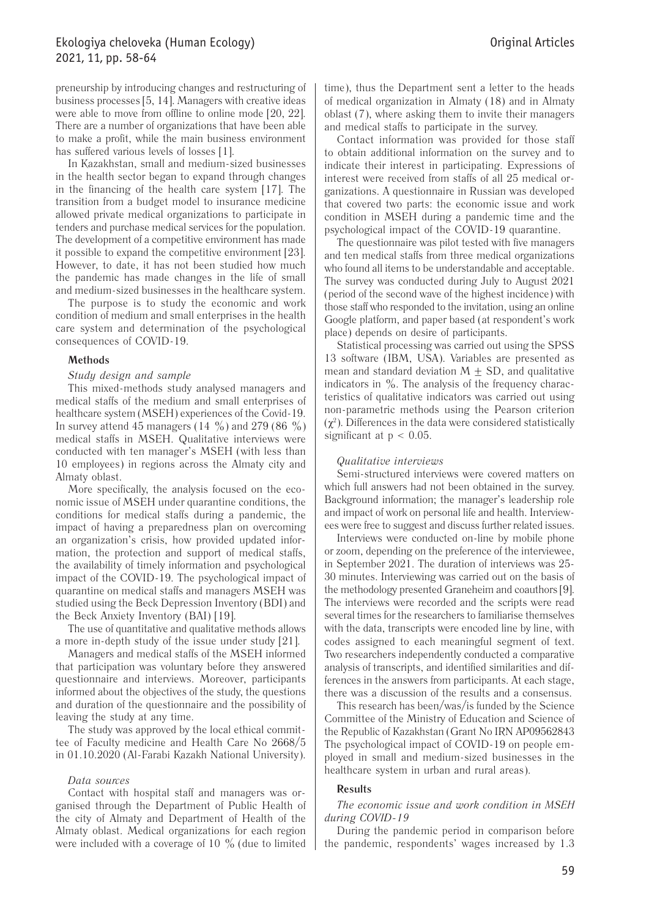# Ekologiya cheloveka (Human Ecology) 2021, 11, pp. 58-64

preneurship by introducing changes and restructuring of business processes [5, 14]. Managers with creative ideas were able to move from offline to online mode [20, 22]. There are a number of organizations that have been able to make a profit, while the main business environment has suffered various levels of losses [1].

In Kazakhstan, small and medium-sized businesses in the health sector began to expand through changes in the financing of the health care system [17]. The transition from a budget model to insurance medicine allowed private medical organizations to participate in tenders and purchase medical services for the population. The development of a competitive environment has made it possible to expand the competitive environment [23]. However, to date, it has not been studied how much the pandemic has made changes in the life of small and medium-sized businesses in the healthcare system.

The purpose is to study the economic and work condition of medium and small enterprises in the health care system and determination of the psychological consequences of COVID-19.

### **Methods**

### *Study design and sample*

This mixed-methods study analysed managers and medical staffs of the medium and small enterprises of healthcare system (MSEH) experiences of the Covid-19. In survey attend 45 managers (14  $\%$ ) and 279 (86  $\%$ ) medical staffs in MSEH. Qualitative interviews were conducted with ten manager's MSEH (with less than 10 employees) in regions across the Almaty city and Almaty oblast.

More specifically, the analysis focused on the economic issue of MSEH under quarantine conditions, the conditions for medical staffs during a pandemic, the impact of having a preparedness plan on overcoming an organization's crisis, how provided updated information, the protection and support of medical staffs, the availability of timely information and psychological impact of the COVID-19. The psychological impact of quarantine on medical staffs and managers MSEH was studied using the Beck Depression Inventory (BDI) and the Beck Anxiety Inventory (BAI) [19].

The use of quantitative and qualitative methods allows a more in-depth study of the issue under study [21].

Managers and medical staffs of the MSEH informed that participation was voluntary before they answered questionnaire and interviews. Moreover, participants informed about the objectives of the study, the questions and duration of the questionnaire and the possibility of leaving the study at any time.

The study was approved by the local ethical committee of Faculty medicine and Health Care No 2668/5 in 01.10.2020 (Al-Farabi Kazakh National University).

### *Data sources*

Contact with hospital staff and managers was organised through the Department of Public Health of the city of Almaty and Department of Health of the Almaty oblast. Medical organizations for each region were included with a coverage of 10  $\%$  (due to limited

time), thus the Department sent a letter to the heads of medical organization in Almaty (18) and in Almaty oblast (7), where asking them to invite their managers and medical staffs to participate in the survey.

Contact information was provided for those staff to obtain additional information on the survey and to indicate their interest in participating. Expressions of interest were received from staffs of all 25 medical organizations. A questionnaire in Russian was developed that covered two parts: the economic issue and work condition in MSEH during a pandemic time and the psychological impact of the COVID-19 quarantine.

The questionnaire was pilot tested with five managers and ten medical staffs from three medical organizations who found all items to be understandable and acceptable. The survey was conducted during July to August 2021 (period of the second wave of the highest incidence) with those staff who responded to the invitation, using an online Google platform, and paper based (at respondent's work place) depends on desire of participants.

Statistical processing was carried out using the SPSS 13 software (IBM, USA). Variables are presented as mean and standard deviation  $M \pm SD$ , and qualitative indicators in  $\%$ . The analysis of the frequency characteristics of qualitative indicators was carried out using non-parametric methods using the Pearson criterion  $(\chi^2)$ . Differences in the data were considered statistically significant at p < 0.05.

### *Qualitative interviews*

Semi-structured interviews were covered matters on which full answers had not been obtained in the survey. Background information; the manager's leadership role and impact of work on personal life and health. Interviewees were free to suggest and discuss further related issues.

Interviews were conducted on-line by mobile phone or zoom, depending on the preference of the interviewee, in September 2021. The duration of interviews was 25- 30 minutes. Interviewing was carried out on the basis of the methodology presented Graneheim and coauthors [9]. The interviews were recorded and the scripts were read several times for the researchers to familiarise themselves with the data, transcripts were encoded line by line, with codes assigned to each meaningful segment of text. Two researchers independently conducted a comparative analysis of transcripts, and identified similarities and differences in the answers from participants. At each stage, there was a discussion of the results and a consensus.

This research has been/was/is funded by the Science Committee of the Ministry of Education and Science of the Republic of Kazakhstan (Grant No IRN AP09562843 The psychological impact of COVID-19 on people employed in small and medium-sized businesses in the healthcare system in urban and rural areas).

### **Results**

# *The economic issue and work condition in MSEH during COVID-19*

During the pandemic period in comparison before the pandemic, respondents' wages increased by 1.3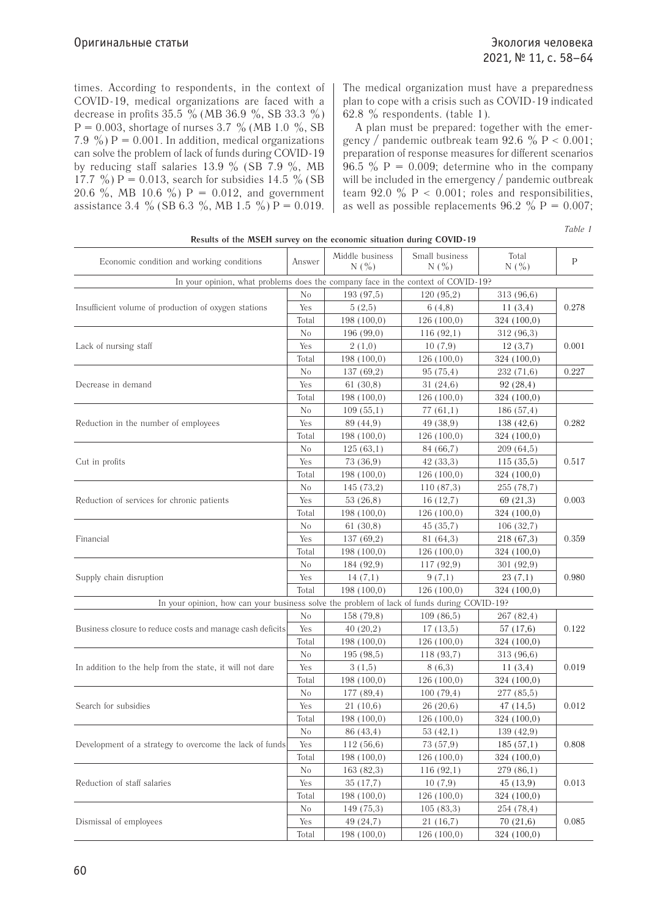times. According to respondents, in the context of COVID-19, medical organizations are faced with a decrease in profits  $35.5\%$  (MB  $36.9\%$ , SB  $33.3\%$ )  $P = 0.003$ , shortage of nurses 3.7 % (MB 1.0 %, SB 7.9 %)  $P = 0.001$ . In addition, medical organizations can solve the problem of lack of funds during COVID-19 by reducing staff salaries 13.9  $\%$  (SB 7.9  $\%$ , MB 17.7 %)  $P = 0.013$ , search for subsidies 14.5 % (SB 20.6 %, MB 10.6 %)  $P = 0.012$ , and government assistance 3.4 % (SB 6.3 %, MB 1.5 %) P = 0.019.

The medical organization must have a preparedness plan to cope with a crisis such as COVID-19 indicated 62.8  $\%$  respondents. (table 1).

A plan must be prepared: together with the emergency / pandemic outbreak team  $92.6 \% P < 0.001$ ; preparation of response measures for different scenarios 96.5 %  $P = 0.009$ ; determine who in the company will be included in the emergency / pandemic outbreak team 92.0  $\%$  P < 0.001; roles and responsibilities, as well as possible replacements  $96.2 \%$  P = 0.007;

*Table 1*

| Results of the MSEH survey on the economic situation during COVID-19                       |                |                        |                       |              |       |  |
|--------------------------------------------------------------------------------------------|----------------|------------------------|-----------------------|--------------|-------|--|
| Economic condition and working conditions                                                  | Answer         | Middle business<br>N(% | Small business<br>N(% | Total<br>N(% | P     |  |
| In your opinion, what problems does the company face in the context of COVID-19?           |                |                        |                       |              |       |  |
| Insufficient volume of production of oxygen stations                                       | No             | 193(97,5)              | 120(95,2)             | 313 (96,6)   |       |  |
|                                                                                            | Yes            | 5(2,5)                 | 6(4,8)                | 11(3,4)      | 0.278 |  |
|                                                                                            | Total          | 198(100,0)             | 126(100,0)            | 324 (100,0)  |       |  |
| Lack of nursing staff                                                                      | No             | 196(99,0)              | 116(92,1)             | 312 (96,3)   |       |  |
|                                                                                            | Yes            | 2(1,0)                 | 10(7,9)               | 12(3,7)      | 0.001 |  |
|                                                                                            | Total          | 198(100,0)             | 126(100,0)            | 324 (100,0)  |       |  |
| Decrease in demand                                                                         | No             | 137(69,2)              | 95(75,4)              | 232 (71,6)   | 0.227 |  |
|                                                                                            | Yes            | 61(30,8)               | 31(24,6)              | 92(28,4)     |       |  |
|                                                                                            | Total          | 198(100,0)             | 126(100,0)            | 324(100,0)   |       |  |
| Reduction in the number of employees                                                       | $\rm No$       | 109(55,1)              | 77(61,1)              | 186(57,4)    | 0.282 |  |
|                                                                                            | Yes            | 89 (44,9)              | 49 (38,9)             | 138(42,6)    |       |  |
|                                                                                            | Total          | 198(100,0)             | 126(100,0)            | 324 (100,0)  |       |  |
| Cut in profits                                                                             | No             | 125(63,1)              | 84 (66,7)             | 209(64,5)    |       |  |
|                                                                                            | Yes            | 73 (36,9)              | 42(33,3)              | 115(35,5)    | 0.517 |  |
|                                                                                            | Total          | 198(100,0)             | 126(100,0)            | 324 (100,0)  |       |  |
| Reduction of services for chronic patients                                                 | No             | 145(73,2)              | 110(87,3)             | 255 (78,7)   |       |  |
|                                                                                            | Yes            | 53(26,8)               | 16(12,7)              | 69(21,3)     | 0.003 |  |
|                                                                                            | Total          | 198(100,0)             | 126(100,0)            | 324 (100,0)  |       |  |
| Financial                                                                                  | N <sub>0</sub> | 61(30,8)               | 45(35,7)              | 106(32,7)    |       |  |
|                                                                                            | Yes            | 137(69,2)              | 81 (64,3)             | 218 (67,3)   | 0.359 |  |
|                                                                                            | Total          | 198(100,0)             | 126(100,0)            | 324 (100,0)  |       |  |
|                                                                                            | N <sub>0</sub> | 184 (92,9)             | 117(92,9)             | 301 (92,9)   |       |  |
| Supply chain disruption                                                                    | Yes            | 14(7,1)                | 9(7,1)                | 23(7,1)      | 0.980 |  |
|                                                                                            |                | 198(100,0)             | 126(100,0)            | 324 (100,0)  |       |  |
| In your opinion, how can your business solve the problem of lack of funds during COVID-19? |                |                        |                       |              |       |  |
|                                                                                            | N <sub>0</sub> | 158 (79,8)             | 109(86,5)             | 267 (82,4)   | 0.122 |  |
| Business closure to reduce costs and manage cash deficits                                  | Yes            | 40(20,2)               | 17(13,5)              | 57(17,6)     |       |  |
|                                                                                            | Total          | 198(100,0)             | 126(100,0)            | 324 (100,0)  |       |  |
|                                                                                            | No             | 195(98,5)              | 118(93,7)             | 313 (96,6)   |       |  |
| In addition to the help from the state, it will not dare                                   | Yes            | 3(1,5)                 | 8(6,3)                | 11(3,4)      | 0.019 |  |
|                                                                                            | Total          | 198(100,0)             | 126(100,0)            | 324 (100,0)  |       |  |
| Search for subsidies                                                                       | No             | 177 (89,4)             | 100(79,4)             | 277 (85,5)   |       |  |
|                                                                                            | Yes            | 21(10,6)               | 26(20,6)              | 47(14,5)     | 0.012 |  |
|                                                                                            | Total          | 198(100,0)             | 126(100,0)            | 324(100,0)   |       |  |
| Development of a strategy to overcome the lack of funds                                    | No             | 86 (43,4)              | 53(42,1)              | 139(42,9)    |       |  |
|                                                                                            | Yes            | 112(56,6)              | 73 (57,9)             | 185(57,1)    | 0.808 |  |
|                                                                                            | Total          | 198(100,0)             | 126(100,0)            | 324 (100,0)  |       |  |
|                                                                                            | No             | 163(82,3)              | 116(92,1)             | 279(86,1)    |       |  |
| Reduction of staff salaries                                                                |                | 35(17,7)               | 10(7,9)               | 45(13,9)     | 0.013 |  |
|                                                                                            | Total          | 198(100,0)             | 126(100,0)            | 324 (100,0)  |       |  |
| Dismissal of employees                                                                     | $\rm No$       | 149(75,3)              | 105(83,3)             | 254 (78,4)   |       |  |
|                                                                                            | Yes            | 49 (24,7)              | 21(16,7)              | 70(21,6)     | 0.085 |  |
|                                                                                            | Total          | 198(100,0)             | 126(100,0)            | 324 (100,0)  |       |  |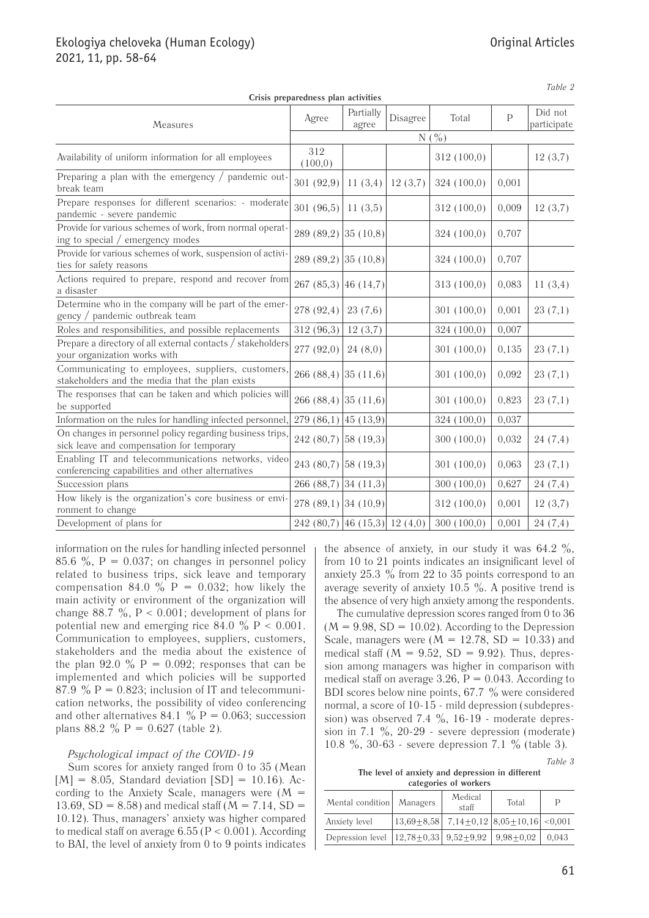# Ekologiya cheloveka (Human Ecology) 2021, 11, pp. 58-64

| Crisis preparedness plan activities                                                                    |                                |                    |          |             |              |                        |  |  |
|--------------------------------------------------------------------------------------------------------|--------------------------------|--------------------|----------|-------------|--------------|------------------------|--|--|
| Measures                                                                                               | Agree                          | Partially<br>agree | Disagree | Total       | $\mathsf{P}$ | Did not<br>participate |  |  |
|                                                                                                        | $N($ %)                        |                    |          |             |              |                        |  |  |
| Availability of uniform information for all employees                                                  | 312<br>(100, 0)                |                    |          | 312 (100,0) |              | 12(3,7)                |  |  |
| Preparing a plan with the emergency $/$ pandemic out-<br>break team                                    | 301 (92,9)                     | 11(3,4)            | 12(3,7)  | 324(100,0)  | 0,001        |                        |  |  |
| Prepare responses for different scenarios: - moderate<br>pandemic - severe pandemic                    | 301 (96,5)                     | 11(3,5)            |          | 312(100,0)  | 0,009        | 12(3,7)                |  |  |
| Provide for various schemes of work, from normal operat-<br>ing to special / emergency modes           | $289(89,2)$ 35 (10,8)          |                    |          | 324 (100,0) | 0,707        |                        |  |  |
| Provide for various schemes of work, suspension of activi-<br>ties for safety reasons                  | 289 (89,2)                     | 35(10,8)           |          | 324 (100,0) | 0,707        |                        |  |  |
| Actions required to prepare, respond and recover from<br>a disaster                                    | $267(85,3)$ 46 (14,7)          |                    |          | 313(100,0)  | 0,083        | 11(3,4)                |  |  |
| Determine who in the company will be part of the emer-<br>gency / pandemic outbreak team               | 278 (92,4)                     | 23(7,6)            |          | 301(100,0)  | 0,001        | 23(7,1)                |  |  |
| Roles and responsibilities, and possible replacements                                                  | 312 (96,3)                     | 12(3,7)            |          | 324(100,0)  | 0,007        |                        |  |  |
| Prepare a directory of all external contacts / stakeholders<br>your organization works with            | 277 (92,0)                     | 24(8,0)            |          | 301 (100,0) | 0,135        | 23(7,1)                |  |  |
| Communicating to employees, suppliers, customers,<br>stakeholders and the media that the plan exists   | 266 (88,4)                     | 35(11,6)           |          | 301 (100,0) | 0,092        | 23(7,1)                |  |  |
| The responses that can be taken and which policies will<br>be supported                                | $266(88,4)$ 35 (11,6)          |                    |          | 301(100,0)  | 0,823        | 23(7,1)                |  |  |
| Information on the rules for handling infected personnel,                                              | $279(86,1)$ 45 (13,9)          |                    |          | 324(100,0)  | 0,037        |                        |  |  |
| On changes in personnel policy regarding business trips,<br>sick leave and compensation for temporary  | $242(80,7)$ 58 (19,3)          |                    |          | 300(100,0)  | 0,032        | 24(7,4)                |  |  |
| Enabling IT and telecommunications networks, video<br>conferencing capabilities and other alternatives | 243 (80,7) [58 (19,3)]         |                    |          | 301(100,0)  | 0,063        | 23(7,1)                |  |  |
| Succession plans                                                                                       | 266 (88,7)                     | 34(11,3)           |          | 300(100,0)  | 0,627        | 24(7,4)                |  |  |
| How likely is the organization's core business or envi-<br>ronment to change                           | $278(89,1)$ 34 (10,9)          |                    |          | 312(100,0)  | 0,001        | 12(3,7)                |  |  |
| Development of plans for                                                                               | $242(80,7)$ 46 (15,3) 12 (4,0) |                    |          | 300(100,0)  | 0,001        | 24(7,4)                |  |  |
|                                                                                                        |                                |                    |          |             |              |                        |  |  |

**Crisis preparedness plan activities**

*Table 2*

information on the rules for handling infected personnel 85.6 %,  $P = 0.037$ ; on changes in personnel policy related to business trips, sick leave and temporary compensation 84.0  $\%$  P = 0.032; how likely the main activity or environment of the organization will change 88.7  $\%$ , P < 0.001; development of plans for potential new and emerging rice 84.0  $\%$  P < 0.001. Communication to employees, suppliers, customers, stakeholders and the media about the existence of the plan 92.0  $\%$  P = 0.092; responses that can be implemented and which policies will be supported 87.9 %  $P = 0.823$ ; inclusion of IT and telecommunication networks, the possibility of video conferencing and other alternatives 84.1 %  $P = 0.063$ ; succession plans 88.2 % P =  $0.627$  (table 2).

# *Psychological impact of the COVID-19*

Sum scores for anxiety ranged from 0 to 35 (Mean  $[M] = 8.05$ , Standard deviation  $[SD] = 10.16$ ). According to the Anxiety Scale, managers were  $(M =$ 13.69,  $SD = 8.58$ ) and medical staff ( $M = 7.14$ ,  $SD =$ 10.12). Thus, managers' anxiety was higher compared to medical staff on average  $6.55$  (P < 0.001). According to BAI, the level of anxiety from 0 to 9 points indicates the absence of anxiety, in our study it was  $64.2 \%$ , from 10 to 21 points indicates an insignificant level of anxiety  $25.3\%$  from  $22$  to  $35$  points correspond to an average severity of anxiety 10.5  $\%$ . A positive trend is the absence of very high anxiety among the respondents.

The cumulative depression scores ranged from 0 to 36  $(M = 9.98, SD = 10.02)$ . According to the Depression Scale, managers were  $(M = 12.78, SD = 10.33)$  and medical staff  $(M = 9.52, SD = 9.92)$ . Thus, depression among managers was higher in comparison with medical staff on average 3.26,  $P = 0.043$ . According to BDI scores below nine points, 67.7 % were considered normal, a score of 10-15 - mild depression (subdepression) was observed 7.4  $\%$ , 16-19 - moderate depression in 7.1  $\%$ , 20-29 - severe depression (moderate) 10.8 %, 30-63 - severe depression 7.1 % (table 3).

*Table 3*

**The level of anxiety and depression in different categories of workers**

| Mental condition   Managers                                                                     | Medical<br>staff | Total                                                                         |       |
|-------------------------------------------------------------------------------------------------|------------------|-------------------------------------------------------------------------------|-------|
| Anxiety level                                                                                   |                  | $\vert 13,69 \pm 8,58 \vert 7,14 \pm 0,12 \vert 8,05 \pm 10,16 \vert < 0,001$ |       |
| Depression level $\left  12,78 \pm 0,33 \right $ 9,52 $\pm$ 9,92 $\left  9,98 \pm 0,02 \right $ |                  |                                                                               | 0.043 |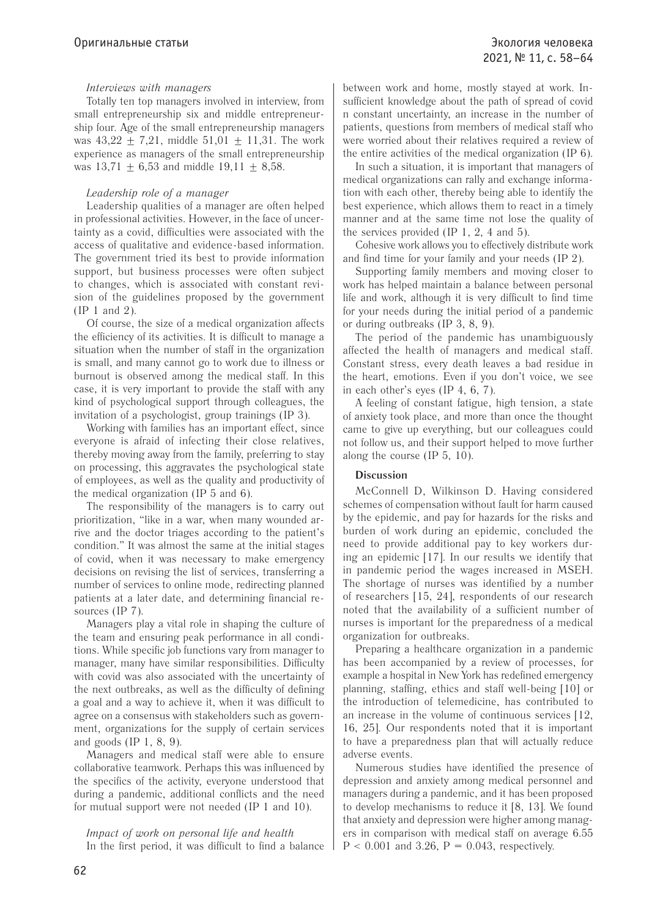# *Interviews with managers*

Totally ten top managers involved in interview, from small entrepreneurship six and middle entrepreneurship four. Age of the small entrepreneurship managers was  $43.22 + 7.21$ , middle  $51.01 + 11.31$ . The work experience as managers of the small entrepreneurship was  $13,71 + 6,53$  and middle  $19,11 + 8,58$ .

# *Leadership role of a manager*

Leadership qualities of a manager are often helped in professional activities. However, in the face of uncertainty as a covid, difficulties were associated with the access of qualitative and evidence-based information. The government tried its best to provide information support, but business processes were often subject to changes, which is associated with constant revision of the guidelines proposed by the government (IP 1 and 2).

Of course, the size of a medical organization affects the efficiency of its activities. It is difficult to manage a situation when the number of staff in the organization is small, and many cannot go to work due to illness or burnout is observed among the medical staff. In this case, it is very important to provide the staff with any kind of psychological support through colleagues, the invitation of a psychologist, group trainings (IP 3).

Working with families has an important effect, since everyone is afraid of infecting their close relatives, thereby moving away from the family, preferring to stay on processing, this aggravates the psychological state of employees, as well as the quality and productivity of the medical organization (IP 5 and 6).

The responsibility of the managers is to carry out prioritization, "like in a war, when many wounded arrive and the doctor triages according to the patient's condition." It was almost the same at the initial stages of covid, when it was necessary to make emergency decisions on revising the list of services, transferring a number of services to online mode, redirecting planned patients at a later date, and determining financial resources (IP 7).

Managers play a vital role in shaping the culture of the team and ensuring peak performance in all conditions. While specific job functions vary from manager to manager, many have similar responsibilities. Difficulty with covid was also associated with the uncertainty of the next outbreaks, as well as the difficulty of defining a goal and a way to achieve it, when it was difficult to agree on a consensus with stakeholders such as government, organizations for the supply of certain services and goods (IP 1, 8, 9).

Managers and medical staff were able to ensure collaborative teamwork. Perhaps this was influenced by the specifics of the activity, everyone understood that during a pandemic, additional conflicts and the need for mutual support were not needed (IP 1 and 10).

## *Impact of work on personal life and health* In the first period, it was difficult to find a balance

between work and home, mostly stayed at work. Insufficient knowledge about the path of spread of covid n constant uncertainty, an increase in the number of patients, questions from members of medical staff who were worried about their relatives required a review of the entire activities of the medical organization (IP 6).

In such a situation, it is important that managers of medical organizations can rally and exchange information with each other, thereby being able to identify the best experience, which allows them to react in a timely manner and at the same time not lose the quality of the services provided (IP 1, 2, 4 and 5).

Cohesive work allows you to effectively distribute work and find time for your family and your needs (IP 2).

Supporting family members and moving closer to work has helped maintain a balance between personal life and work, although it is very difficult to find time for your needs during the initial period of a pandemic or during outbreaks (IP 3, 8, 9).

The period of the pandemic has unambiguously affected the health of managers and medical staff. Constant stress, every death leaves a bad residue in the heart, emotions. Even if you don't voice, we see in each other's eyes (IP 4, 6, 7).

A feeling of constant fatigue, high tension, a state of anxiety took place, and more than once the thought came to give up everything, but our colleagues could not follow us, and their support helped to move further along the course (IP 5, 10).

# **Discussion**

McConnell D, Wilkinson D. Having considered schemes of compensation without fault for harm caused by the epidemic, and pay for hazards for the risks and burden of work during an epidemic, concluded the need to provide additional pay to key workers during an epidemic [17]. In our results we identify that in pandemic period the wages increased in MSEH. The shortage of nurses was identified by a number of researchers [15, 24], respondents of our research noted that the availability of a sufficient number of nurses is important for the preparedness of a medical organization for outbreaks.

Preparing a healthcare organization in a pandemic has been accompanied by a review of processes, for example a hospital in New York has redefined emergency planning, staffing, ethics and staff well-being [10] or the introduction of telemedicine, has contributed to an increase in the volume of continuous services [12, 16, 25]. Our respondents noted that it is important to have a preparedness plan that will actually reduce adverse events.

Numerous studies have identified the presence of depression and anxiety among medical personnel and managers during a pandemic, and it has been proposed to develop mechanisms to reduce it [8, 13]. We found that anxiety and depression were higher among managers in comparison with medical staff on average 6.55  $P < 0.001$  and 3.26,  $P = 0.043$ , respectively.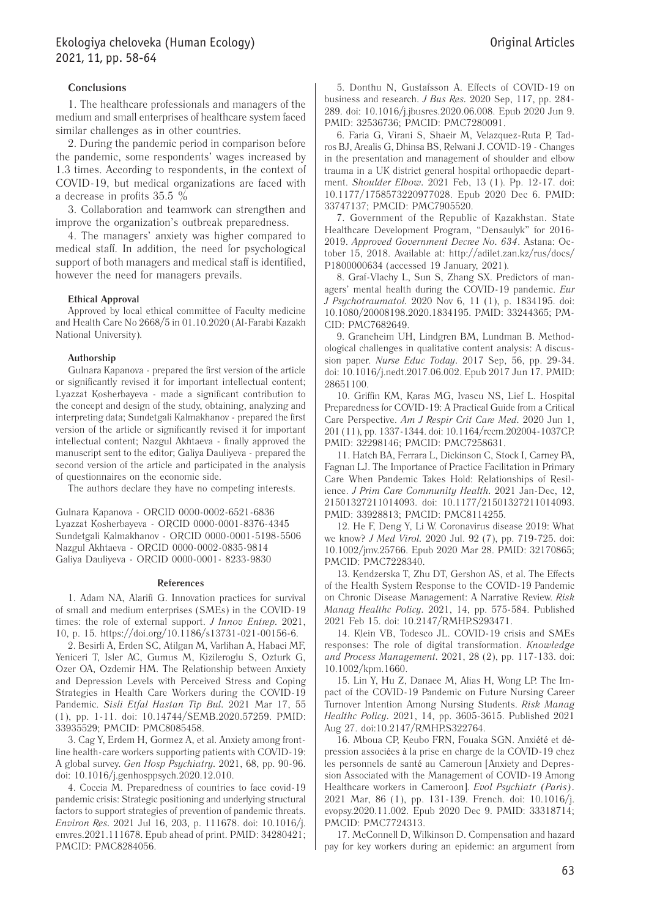# **Conclusions**

1. The healthcare professionals and managers of the medium and small enterprises of healthcare system faced similar challenges as in other countries.

2. During the pandemic period in comparison before the pandemic, some respondents' wages increased by 1.3 times. According to respondents, in the context of COVID-19, but medical organizations are faced with a decrease in profits 35.5 %

3. Collaboration and teamwork can strengthen and improve the organization's outbreak preparedness.

4. The managers' anxiety was higher compared to medical staff. In addition, the need for psychological support of both managers and medical staff is identified, however the need for managers prevails.

#### **Ethical Approval**

Approved by local ethical committee of Faculty medicine and Health Care No 2668/5 in 01.10.2020 (Al-Farabi Kazakh National University).

#### **Authorship**

Gulnara Kapanova - prepared the first version of the article or significantly revised it for important intellectual content; Lyazzat Kosherbayeva - made a significant contribution to the concept and design of the study, obtaining, analyzing and interpreting data; Sundetgali Kalmakhanov - prepared the first version of the article or significantly revised it for important intellectual content; Nazgul Akhtaeva - finally approved the manuscript sent to the editor; Galiya Dauliyeva - prepared the second version of the article and participated in the analysis of questionnaires on the economic side.

The authors declare they have no competing interests.

Gulnara Kapanova - ORCID 0000-0002-6521-6836 Lyazzat Kosherbayeva - ORCID 0000-0001-8376-4345 Sundetgali Kalmakhanov - ORCID 0000-0001-5198-5506 Nazgul Akhtaeva - ORCID 0000-0002-0835-9814 Galiya Dauliyeva - ORCID 0000-0001- 8233-9830

#### **References**

1. Adam NA, Alarifi G. Innovation practices for survival of small and medium enterprises (SMEs) in the COVID-19 times: the role of external support. *J Innov Entrep.* 2021, 10, p. 15. https://doi.org/10.1186/s13731-021-00156-6.

2. Besirli A, Erden SC, Atilgan M, Varlihan A, Habaci MF, Yeniceri T, Isler AC, Gumus M, Kizileroglu S, Ozturk G, Ozer OA, Ozdemir HM. The Relationship between Anxiety and Depression Levels with Perceived Stress and Coping Strategies in Health Care Workers during the COVID-19 Pandemic. *Sisli Etfal Hastan Tip Bul.* 2021 Mar 17, 55 (1), pp. 1-11. doi: 10.14744/SEMB.2020.57259. PMID: 33935529; PMCID: PMC8085458.

3. Cag Y, Erdem H, Gormez A, et al. Anxiety among frontline health-care workers supporting patients with COVID-19: A global survey. *Gen Hosp Psychiatry.* 2021, 68, pp. 90-96. doi: 10.1016/j.genhosppsych.2020.12.010.

4. Coccia M. Preparedness of countries to face covid-19 pandemic crisis: Strategic positioning and underlying structural factors to support strategies of prevention of pandemic threats. *Environ Res.* 2021 Jul 16, 203, p. 111678. doi: 10.1016/j. envres.2021.111678. Epub ahead of print. PMID: 34280421; PMCID: PMC8284056.

5. Donthu N, Gustafsson A. Effects of COVID-19 on business and research. *J Bus Res.* 2020 Sep, 117, pp. 284- 289. doi: 10.1016/j.jbusres.2020.06.008. Epub 2020 Jun 9. PMID: 32536736; PMCID: PMC7280091.

6. Faria G, Virani S, Shaeir M, Velazquez-Ruta P, Tadros BJ, Arealis G, Dhinsa BS, Relwani J. COVID-19 - Changes in the presentation and management of shoulder and elbow trauma in a UK district general hospital orthopaedic department. *Shoulder Elbow.* 2021 Feb, 13 (1). Pp. 12-17. doi: 10.1177/1758573220977028. Epub 2020 Dec 6. PMID: 33747137; PMCID: PMC7905520.

7. Government of the Republic of Kazakhstan. State Healthcare Development Program, "Densaulyk" for 2016- 2019. *Approved Government Decree No. 634*. Astana: October 15, 2018. Available at: http://adilet.zan.kz/rus/docs/ P1800000634 (accessed 19 January, 2021).

8. Graf-Vlachy L, Sun S, Zhang SX. Predictors of managers' mental health during the COVID-19 pandemic. *Eur J Psychotraumatol.* 2020 Nov 6, 11 (1), p. 1834195. doi: 10.1080/20008198.2020.1834195. PMID: 33244365; PM-CID: PMC7682649.

9. Graneheim UH, Lindgren BM, Lundman B. Methodological challenges in qualitative content analysis: A discussion paper. *Nurse Educ Today.* 2017 Sep, 56, pp. 29-34. doi: 10.1016/j.nedt.2017.06.002. Epub 2017 Jun 17. PMID: 28651100.

10. Griffin KM, Karas MG, Ivascu NS, Lief L. Hospital Preparedness for COVID-19: A Practical Guide from a Critical Care Perspective. *Am J Respir Crit Care Med.* 2020 Jun 1, 201 (11), pp. 1337-1344. doi: 10.1164/rccm.202004-1037CP. PMID: 32298146; PMCID: PMC7258631.

11. Hatch BA, Ferrara L, Dickinson C, Stock I, Carney PA, Fagnan LJ. The Importance of Practice Facilitation in Primary Care When Pandemic Takes Hold: Relationships of Resilience. *J Prim Care Community Health.* 2021 Jan-Dec, 12, 21501327211014093. doi: 10.1177/21501327211014093. PMID: 33928813; PMCID: PMC8114255.

12. He F, Deng Y, Li W. Coronavirus disease 2019: What we know? *J Med Virol.* 2020 Jul. 92 (7), pp. 719-725. doi: 10.1002/jmv.25766. Epub 2020 Mar 28. PMID: 32170865; PMCID: PMC7228340.

13. Kendzerska T, Zhu DT, Gershon AS, et al. The Effects of the Health System Response to the COVID-19 Pandemic on Chronic Disease Management: A Narrative Review. *Risk Manag Healthc Policy.* 2021, 14, pp. 575-584. Published 2021 Feb 15. doi: 10.2147/RMHP.S293471.

14. Klein VB, Todesco JL. COVID-19 crisis and SMEs responses: The role of digital transformation. *Knowledge and Process Management.* 2021, 28 (2), pp. 117-133. doi: 10.1002/kpm.1660.

15. Lin Y, Hu Z, Danaee M, Alias H, Wong LP. The Impact of the COVID-19 Pandemic on Future Nursing Career Turnover Intention Among Nursing Students. *Risk Manag Healthc Policy.* 2021, 14, pp. 3605-3615. Published 2021 Aug 27. doi:10.2147/RMHP.S322764.

16. Mboua CP, Keubo FRN, Fouaka SGN. Anxiété et dépression associées à la prise en charge de la COVID-19 chez les personnels de santé au Cameroun [Anxiety and Depression Associated with the Management of COVID-19 Among Healthcare workers in Cameroon]. *Evol Psychiatr (Paris).* 2021 Mar, 86 (1), pp. 131-139. French. doi: 10.1016/j. evopsy.2020.11.002. Epub 2020 Dec 9. PMID: 33318714; PMCID: PMC7724313.

17. McConnell D, Wilkinson D. Compensation and hazard pay for key workers during an epidemic: an argument from